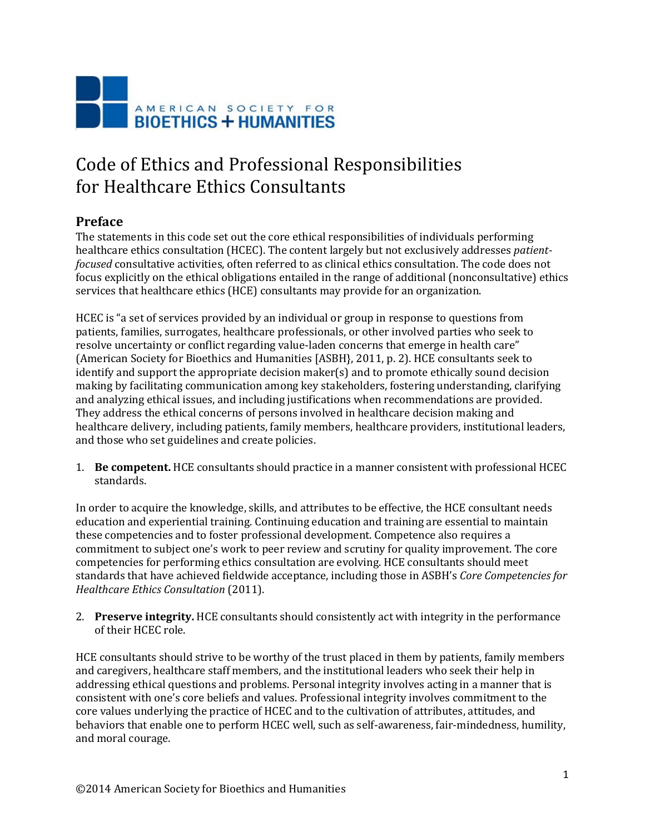

## Code of Ethics and Professional Responsibilities for Healthcare Ethics Consultants

## **Preface**

The statements in this code set out the core ethical responsibilities of individuals performing healthcare ethics consultation (HCEC). The content largely but not exclusively addresses *patientfocused* consultative activities, often referred to as clinical ethics consultation. The code does not focus explicitly on the ethical obligations entailed in the range of additional (nonconsultative) ethics services that healthcare ethics (HCE) consultants may provide for an organization.

HCEC is "a set of services provided by an individual or group in response to questions from patients, families, surrogates, healthcare professionals, or other involved parties who seek to resolve uncertainty or conflict regarding value-laden concerns that emerge in health care" (American Society for Bioethics and Humanities [ASBH}, 2011, p. 2). HCE consultants seek to identify and support the appropriate decision maker(s) and to promote ethically sound decision making by facilitating communication among key stakeholders, fostering understanding, clarifying and analyzing ethical issues, and including justifications when recommendations are provided. They address the ethical concerns of persons involved in healthcare decision making and healthcare delivery, including patients, family members, healthcare providers, institutional leaders, and those who set guidelines and create policies.

1. **Be competent.** HCE consultants should practice in a manner consistent with professional HCEC standards.

In order to acquire the knowledge, skills, and attributes to be effective, the HCE consultant needs education and experiential training. Continuing education and training are essential to maintain these competencies and to foster professional development. Competence also requires a commitment to subject one's work to peer review and scrutiny for quality improvement. The core competencies for performing ethics consultation are evolving. HCE consultants should meet standards that have achieved fieldwide acceptance, including those in ASBH's *Core Competencies for Healthcare Ethics Consultation* (2011).

2. **Preserve integrity.** HCE consultants should consistently act with integrity in the performance of their HCEC role.

HCE consultants should strive to be worthy of the trust placed in them by patients, family members and caregivers, healthcare staff members, and the institutional leaders who seek their help in addressing ethical questions and problems. Personal integrity involves acting in a manner that is consistent with one's core beliefs and values. Professional integrity involves commitment to the core values underlying the practice of HCEC and to the cultivation of attributes, attitudes, and behaviors that enable one to perform HCEC well, such as self-awareness, fair-mindedness, humility, and moral courage.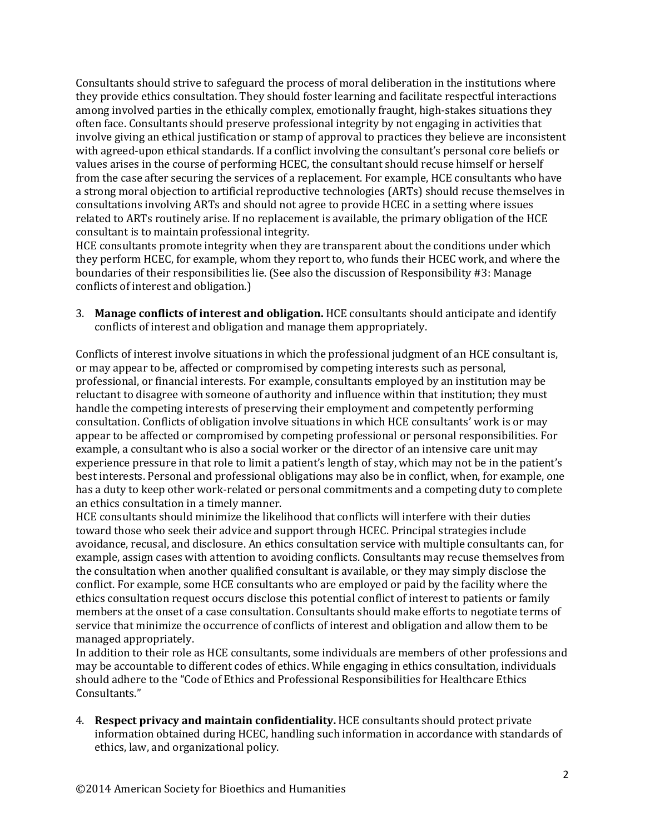Consultants should strive to safeguard the process of moral deliberation in the institutions where they provide ethics consultation. They should foster learning and facilitate respectful interactions among involved parties in the ethically complex, emotionally fraught, high-stakes situations they often face. Consultants should preserve professional integrity by not engaging in activities that involve giving an ethical justification or stamp of approval to practices they believe are inconsistent with agreed-upon ethical standards. If a conflict involving the consultant's personal core beliefs or values arises in the course of performing HCEC, the consultant should recuse himself or herself from the case after securing the services of a replacement. For example, HCE consultants who have a strong moral objection to artificial reproductive technologies (ARTs) should recuse themselves in consultations involving ARTs and should not agree to provide HCEC in a setting where issues related to ARTs routinely arise. If no replacement is available, the primary obligation of the HCE consultant is to maintain professional integrity.

HCE consultants promote integrity when they are transparent about the conditions under which they perform HCEC, for example, whom they report to, who funds their HCEC work, and where the boundaries of their responsibilities lie. (See also the discussion of Responsibility #3: Manage conflicts of interest and obligation.)

3. **Manage conflicts of interest and obligation.** HCE consultants should anticipate and identify conflicts of interest and obligation and manage them appropriately.

Conflicts of interest involve situations in which the professional judgment of an HCE consultant is, or may appear to be, affected or compromised by competing interests such as personal, professional, or financial interests. For example, consultants employed by an institution may be reluctant to disagree with someone of authority and influence within that institution; they must handle the competing interests of preserving their employment and competently performing consultation. Conflicts of obligation involve situations in which HCE consultants' work is or may appear to be affected or compromised by competing professional or personal responsibilities. For example, a consultant who is also a social worker or the director of an intensive care unit may experience pressure in that role to limit a patient's length of stay, which may not be in the patient's best interests. Personal and professional obligations may also be in conflict, when, for example, one has a duty to keep other work-related or personal commitments and a competing duty to complete an ethics consultation in a timely manner.

HCE consultants should minimize the likelihood that conflicts will interfere with their duties toward those who seek their advice and support through HCEC. Principal strategies include avoidance, recusal, and disclosure. An ethics consultation service with multiple consultants can, for example, assign cases with attention to avoiding conflicts. Consultants may recuse themselves from the consultation when another qualified consultant is available, or they may simply disclose the conflict. For example, some HCE consultants who are employed or paid by the facility where the ethics consultation request occurs disclose this potential conflict of interest to patients or family members at the onset of a case consultation. Consultants should make efforts to negotiate terms of service that minimize the occurrence of conflicts of interest and obligation and allow them to be managed appropriately.

In addition to their role as HCE consultants, some individuals are members of other professions and may be accountable to different codes of ethics. While engaging in ethics consultation, individuals should adhere to the "Code of Ethics and Professional Responsibilities for Healthcare Ethics Consultants."

4. **Respect privacy and maintain confidentiality.** HCE consultants should protect private information obtained during HCEC, handling such information in accordance with standards of ethics, law, and organizational policy.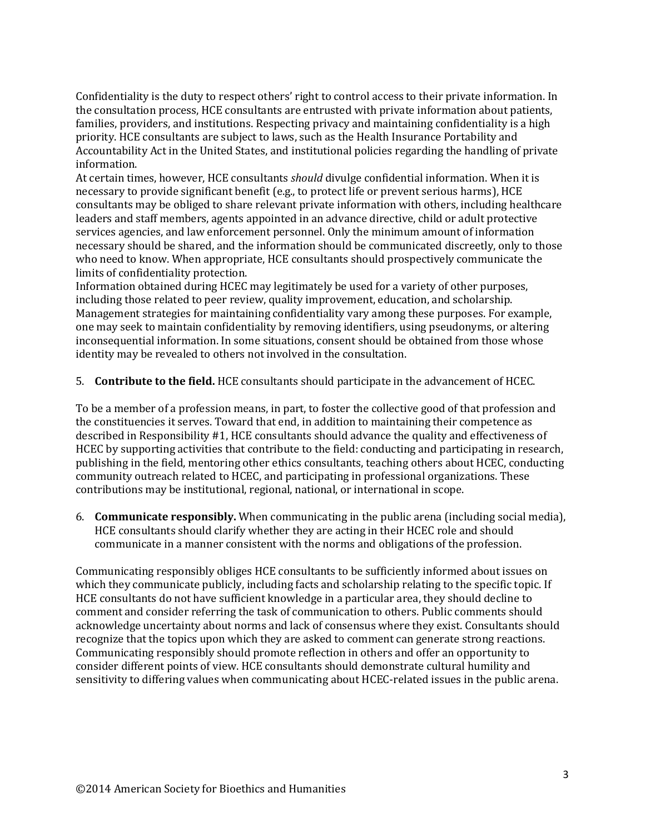Confidentiality is the duty to respect others' right to control access to their private information. In the consultation process, HCE consultants are entrusted with private information about patients, families, providers, and institutions. Respecting privacy and maintaining confidentiality is a high priority. HCE consultants are subject to laws, such as the Health Insurance Portability and Accountability Act in the United States, and institutional policies regarding the handling of private information.

At certain times, however, HCE consultants *should* divulge confidential information. When it is necessary to provide significant benefit (e.g., to protect life or prevent serious harms), HCE consultants may be obliged to share relevant private information with others, including healthcare leaders and staff members, agents appointed in an advance directive, child or adult protective services agencies, and law enforcement personnel. Only the minimum amount of information necessary should be shared, and the information should be communicated discreetly, only to those who need to know. When appropriate, HCE consultants should prospectively communicate the limits of confidentiality protection.

Information obtained during HCEC may legitimately be used for a variety of other purposes, including those related to peer review, quality improvement, education, and scholarship. Management strategies for maintaining confidentiality vary among these purposes. For example, one may seek to maintain confidentiality by removing identifiers, using pseudonyms, or altering inconsequential information. In some situations, consent should be obtained from those whose identity may be revealed to others not involved in the consultation.

5. **Contribute to the field.** HCE consultants should participate in the advancement of HCEC.

To be a member of a profession means, in part, to foster the collective good of that profession and the constituencies it serves. Toward that end, in addition to maintaining their competence as described in Responsibility #1, HCE consultants should advance the quality and effectiveness of HCEC by supporting activities that contribute to the field: conducting and participating in research, publishing in the field, mentoring other ethics consultants, teaching others about HCEC, conducting community outreach related to HCEC, and participating in professional organizations. These contributions may be institutional, regional, national, or international in scope.

6. **Communicate responsibly.** When communicating in the public arena (including social media), HCE consultants should clarify whether they are acting in their HCEC role and should communicate in a manner consistent with the norms and obligations of the profession.

Communicating responsibly obliges HCE consultants to be sufficiently informed about issues on which they communicate publicly, including facts and scholarship relating to the specific topic. If HCE consultants do not have sufficient knowledge in a particular area, they should decline to comment and consider referring the task of communication to others. Public comments should acknowledge uncertainty about norms and lack of consensus where they exist. Consultants should recognize that the topics upon which they are asked to comment can generate strong reactions. Communicating responsibly should promote reflection in others and offer an opportunity to consider different points of view. HCE consultants should demonstrate cultural humility and sensitivity to differing values when communicating about HCEC-related issues in the public arena.